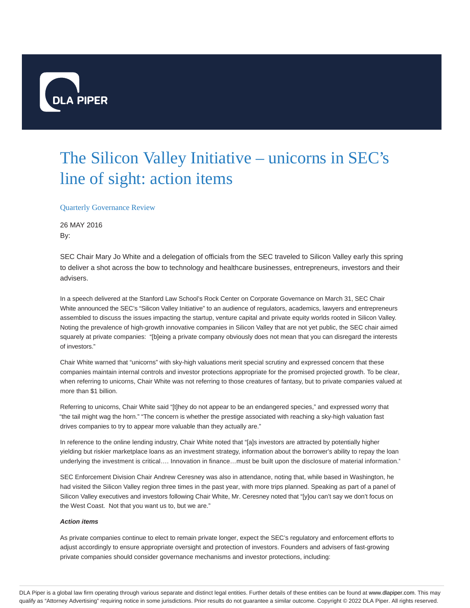

## The Silicon Valley Initiative – unicorns in SEC's line of sight: action items

Quarterly Governance Review

26 MAY 2016 By:

SEC Chair Mary Jo White and a delegation of officials from the SEC traveled to Silicon Valley early this spring to deliver a shot across the bow to technology and healthcare businesses, entrepreneurs, investors and their advisers.

In a speech delivered at the Stanford Law School's Rock Center on Corporate Governance on March 31, SEC Chair White announced the SEC's "Silicon Valley Initiative" to an audience of regulators, academics, lawyers and entrepreneurs assembled to discuss the issues impacting the startup, venture capital and private equity worlds rooted in Silicon Valley. Noting the prevalence of high-growth innovative companies in Silicon Valley that are not yet public, the SEC chair aimed squarely at private companies: "[b]eing a private company obviously does not mean that you can disregard the interests of investors."

Chair White warned that "unicorns" with sky-high valuations merit special scrutiny and expressed concern that these companies maintain internal controls and investor protections appropriate for the promised projected growth. To be clear, when referring to unicorns, Chair White was not referring to those creatures of fantasy, but to private companies valued at more than \$1 billion.

Referring to unicorns, Chair White said "[t]hey do not appear to be an endangered species," and expressed worry that "the tail might wag the horn." "The concern is whether the prestige associated with reaching a sky-high valuation fast drives companies to try to appear more valuable than they actually are."

In reference to the online lending industry, Chair White noted that "[a]s investors are attracted by potentially higher yielding but riskier marketplace loans as an investment strategy, information about the borrower's ability to repay the loan underlying the investment is critical…. Innovation in finance…must be built upon the disclosure of material information."

SEC Enforcement Division Chair Andrew Ceresney was also in attendance, noting that, while based in Washington, he had visited the Silicon Valley region three times in the past year, with more trips planned. Speaking as part of a panel of Silicon Valley executives and investors following Chair White, Mr. Ceresney noted that "[y]ou can't say we don't focus on the West Coast. Not that you want us to, but we are."

## **Action items**

As private companies continue to elect to remain private longer, expect the SEC's regulatory and enforcement efforts to adjust accordingly to ensure appropriate oversight and protection of investors. Founders and advisers of fast-growing private companies should consider governance mechanisms and investor protections, including: